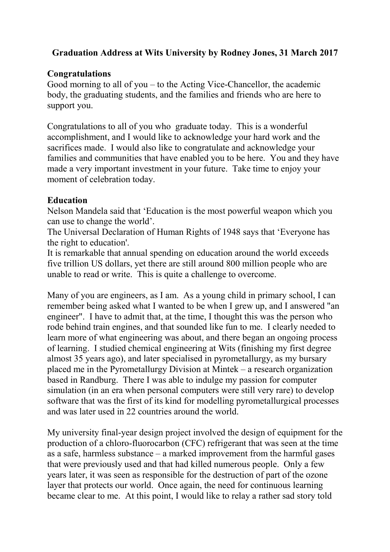## **Graduation Address at Wits University by Rodney Jones, 31 March 2017**

### **Congratulations**

Good morning to all of you – to the Acting Vice-Chancellor, the academic body, the graduating students, and the families and friends who are here to support you.

Congratulations to all of you who graduate today. This is a wonderful accomplishment, and I would like to acknowledge your hard work and the sacrifices made. I would also like to congratulate and acknowledge your families and communities that have enabled you to be here. You and they have made a very important investment in your future. Take time to enjoy your moment of celebration today.

### **Education**

Nelson Mandela said that 'Education is the most powerful weapon which you can use to change the world'.

The Universal Declaration of Human Rights of 1948 says that 'Everyone has the right to education'.

It is remarkable that annual spending on education around the world exceeds five trillion US dollars, yet there are still around 800 million people who are unable to read or write. This is quite a challenge to overcome.

Many of you are engineers, as I am. As a young child in primary school, I can remember being asked what I wanted to be when I grew up, and I answered "an engineer". I have to admit that, at the time, I thought this was the person who rode behind train engines, and that sounded like fun to me. I clearly needed to learn more of what engineering was about, and there began an ongoing process of learning. I studied chemical engineering at Wits (finishing my first degree almost 35 years ago), and later specialised in pyrometallurgy, as my bursary placed me in the Pyrometallurgy Division at Mintek – a research organization based in Randburg. There I was able to indulge my passion for computer simulation (in an era when personal computers were still very rare) to develop software that was the first of its kind for modelling pyrometallurgical processes and was later used in 22 countries around the world.

My university final-year design project involved the design of equipment for the production of a chloro-fluorocarbon (CFC) refrigerant that was seen at the time as a safe, harmless substance – a marked improvement from the harmful gases that were previously used and that had killed numerous people. Only a few years later, it was seen as responsible for the destruction of part of the ozone layer that protects our world. Once again, the need for continuous learning became clear to me. At this point, I would like to relay a rather sad story told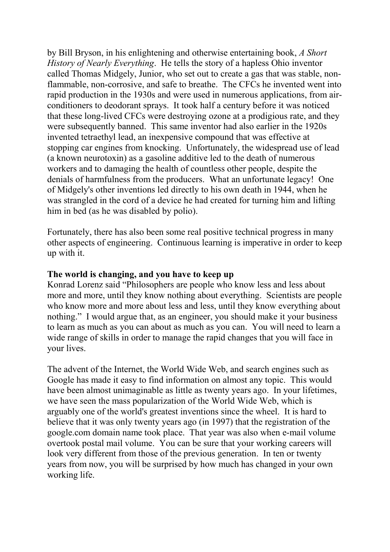by Bill Bryson, in his enlightening and otherwise entertaining book, *A Short History of Nearly Everything*. He tells the story of a hapless Ohio inventor called Thomas Midgely, Junior, who set out to create a gas that was stable, nonflammable, non-corrosive, and safe to breathe. The CFCs he invented went into rapid production in the 1930s and were used in numerous applications, from airconditioners to deodorant sprays. It took half a century before it was noticed that these long-lived CFCs were destroying ozone at a prodigious rate, and they were subsequently banned. This same inventor had also earlier in the 1920s invented tetraethyl lead, an inexpensive compound that was effective at stopping car engines from knocking. Unfortunately, the widespread use of lead (a known neurotoxin) as a gasoline additive led to the death of numerous workers and to damaging the health of countless other people, despite the denials of harmfulness from the producers. What an unfortunate legacy! One of Midgely's other inventions led directly to his own death in 1944, when he was strangled in the cord of a device he had created for turning him and lifting him in bed (as he was disabled by polio).

Fortunately, there has also been some real positive technical progress in many other aspects of engineering. Continuous learning is imperative in order to keep up with it.

#### **The world is changing, and you have to keep up**

Konrad Lorenz said "Philosophers are people who know less and less about more and more, until they know nothing about everything. Scientists are people who know more and more about less and less, until they know everything about nothing." I would argue that, as an engineer, you should make it your business to learn as much as you can about as much as you can. You will need to learn a wide range of skills in order to manage the rapid changes that you will face in your lives.

The advent of the Internet, the World Wide Web, and search engines such as Google has made it easy to find information on almost any topic. This would have been almost unimaginable as little as twenty years ago. In your lifetimes, we have seen the mass popularization of the World Wide Web, which is arguably one of the world's greatest inventions since the wheel. It is hard to believe that it was only twenty years ago (in 1997) that the registration of the google.com domain name took place. That year was also when e-mail volume overtook postal mail volume. You can be sure that your working careers will look very different from those of the previous generation. In ten or twenty years from now, you will be surprised by how much has changed in your own working life.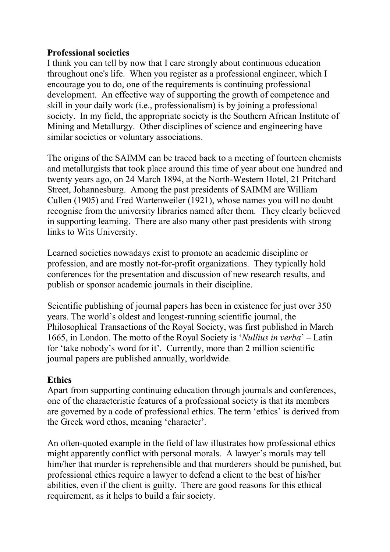### **Professional societies**

I think you can tell by now that I care strongly about continuous education throughout one's life. When you register as a professional engineer, which I encourage you to do, one of the requirements is continuing professional development. An effective way of supporting the growth of competence and skill in your daily work (i.e., professionalism) is by joining a professional society. In my field, the appropriate society is the Southern African Institute of Mining and Metallurgy. Other disciplines of science and engineering have similar societies or voluntary associations.

The origins of the SAIMM can be traced back to a meeting of fourteen chemists and metallurgists that took place around this time of year about one hundred and twenty years ago, on 24 March 1894, at the North-Western Hotel, 21 Pritchard Street, Johannesburg. Among the past presidents of SAIMM are William Cullen (1905) and Fred Wartenweiler (1921), whose names you will no doubt recognise from the university libraries named after them. They clearly believed in supporting learning. There are also many other past presidents with strong links to Wits University.

Learned societies nowadays exist to promote an academic discipline or profession, and are mostly not-for-profit organizations. They typically hold conferences for the presentation and discussion of new research results, and publish or sponsor academic journals in their discipline.

Scientific publishing of journal papers has been in existence for just over 350 years. The world's oldest and longest-running scientific journal, the Philosophical Transactions of the Royal Society, was first published in March 1665, in London. The motto of the Royal Society is '*Nullius in verba*' – Latin for 'take nobody's word for it'. Currently, more than 2 million scientific journal papers are published annually, worldwide.

## **Ethics**

Apart from supporting continuing education through journals and conferences, one of the characteristic features of a professional society is that its members are governed by a code of professional ethics. The term 'ethics' is derived from the Greek word ethos, meaning 'character'.

An often-quoted example in the field of law illustrates how professional ethics might apparently conflict with personal morals. A lawyer's morals may tell him/her that murder is reprehensible and that murderers should be punished, but professional ethics require a lawyer to defend a client to the best of his/her abilities, even if the client is guilty. There are good reasons for this ethical requirement, as it helps to build a fair society.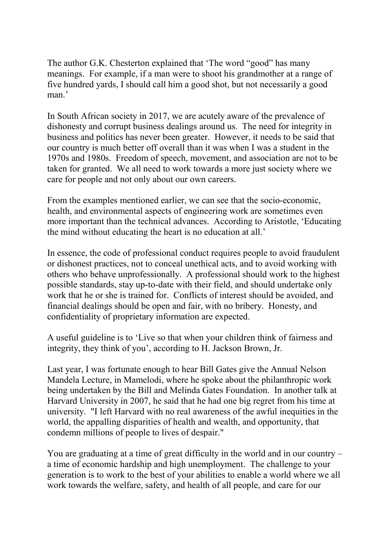The author G.K. Chesterton explained that 'The word "good" has many meanings. For example, if a man were to shoot his grandmother at a range of five hundred yards, I should call him a good shot, but not necessarily a good man.'

In South African society in 2017, we are acutely aware of the prevalence of dishonesty and corrupt business dealings around us. The need for integrity in business and politics has never been greater. However, it needs to be said that our country is much better off overall than it was when I was a student in the 1970s and 1980s. Freedom of speech, movement, and association are not to be taken for granted. We all need to work towards a more just society where we care for people and not only about our own careers.

From the examples mentioned earlier, we can see that the socio-economic, health, and environmental aspects of engineering work are sometimes even more important than the technical advances. According to Aristotle, 'Educating the mind without educating the heart is no education at all.'

In essence, the code of professional conduct requires people to avoid fraudulent or dishonest practices, not to conceal unethical acts, and to avoid working with others who behave unprofessionally. A professional should work to the highest possible standards, stay up-to-date with their field, and should undertake only work that he or she is trained for. Conflicts of interest should be avoided, and financial dealings should be open and fair, with no bribery. Honesty, and confidentiality of proprietary information are expected.

A useful guideline is to 'Live so that when your children think of fairness and integrity, they think of you', according to H. Jackson Brown, Jr.

Last year, I was fortunate enough to hear Bill Gates give the Annual Nelson Mandela Lecture, in Mamelodi, where he spoke about the philanthropic work being undertaken by the Bill and Melinda Gates Foundation. In another talk at Harvard University in 2007, he said that he had one big regret from his time at university. "I left Harvard with no real awareness of the awful inequities in the world, the appalling disparities of health and wealth, and opportunity, that condemn millions of people to lives of despair."

You are graduating at a time of great difficulty in the world and in our country – a time of economic hardship and high unemployment. The challenge to your generation is to work to the best of your abilities to enable a world where we all work towards the welfare, safety, and health of all people, and care for our